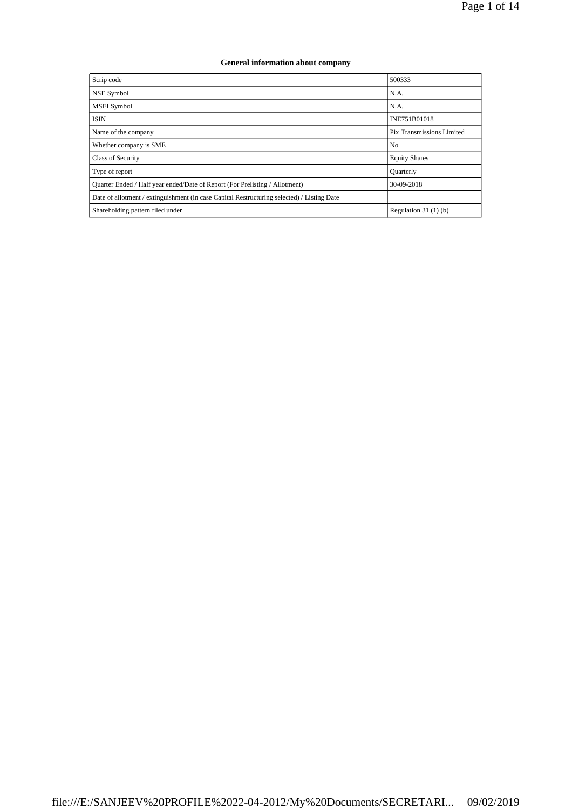| <b>General information about company</b>                                                   |                           |
|--------------------------------------------------------------------------------------------|---------------------------|
| Scrip code                                                                                 | 500333                    |
| NSE Symbol                                                                                 | N.A.                      |
| MSEI Symbol                                                                                | N.A.                      |
| <b>ISIN</b>                                                                                | INE751B01018              |
| Name of the company                                                                        | Pix Transmissions Limited |
| Whether company is SME                                                                     | N <sub>0</sub>            |
| <b>Class of Security</b>                                                                   | <b>Equity Shares</b>      |
| Type of report                                                                             | Quarterly                 |
| Quarter Ended / Half year ended/Date of Report (For Prelisting / Allotment)                | 30-09-2018                |
| Date of allotment / extinguishment (in case Capital Restructuring selected) / Listing Date |                           |
| Shareholding pattern filed under                                                           | Regulation $31(1)(b)$     |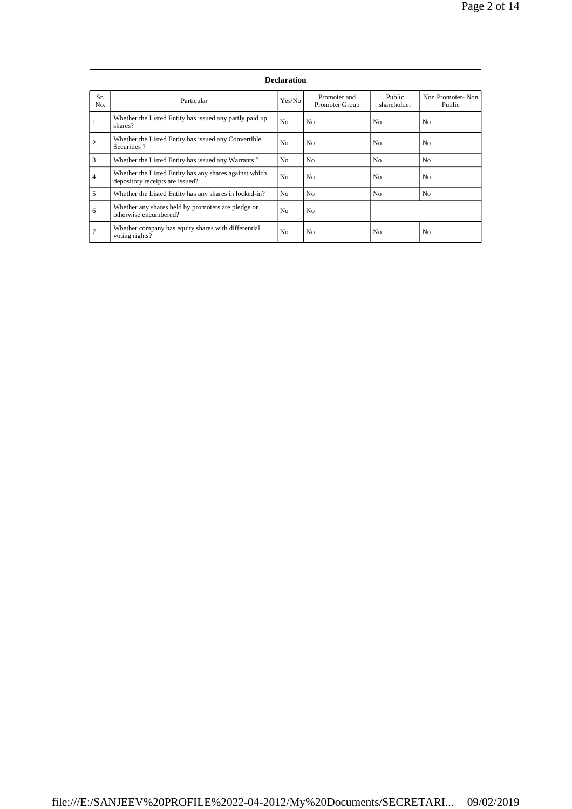|                | <b>Declaration</b>                                                                        |                |                                |                       |                            |  |  |  |  |  |  |  |  |
|----------------|-------------------------------------------------------------------------------------------|----------------|--------------------------------|-----------------------|----------------------------|--|--|--|--|--|--|--|--|
| Sr.<br>No.     | Particular                                                                                | Yes/No         | Promoter and<br>Promoter Group | Public<br>shareholder | Non Promoter-Non<br>Public |  |  |  |  |  |  |  |  |
|                | Whether the Listed Entity has issued any partly paid up<br>shares?                        | N <sub>0</sub> | N <sub>0</sub>                 | No                    | N <sub>0</sub>             |  |  |  |  |  |  |  |  |
| $\overline{c}$ | Whether the Listed Entity has issued any Convertible<br>Securities?                       | N <sub>0</sub> | N <sub>0</sub>                 | No                    | N <sub>0</sub>             |  |  |  |  |  |  |  |  |
| 3              | Whether the Listed Entity has issued any Warrants?                                        | N <sub>0</sub> | N <sub>0</sub>                 | N <sub>0</sub>        | N <sub>o</sub>             |  |  |  |  |  |  |  |  |
| $\overline{4}$ | Whether the Listed Entity has any shares against which<br>depository receipts are issued? | N <sub>0</sub> | N <sub>0</sub>                 | N <sub>0</sub>        | N <sub>0</sub>             |  |  |  |  |  |  |  |  |
| 5              | Whether the Listed Entity has any shares in locked-in?                                    | N <sub>0</sub> | N <sub>0</sub>                 | N <sub>0</sub>        | N <sub>o</sub>             |  |  |  |  |  |  |  |  |
| 6              | Whether any shares held by promoters are pledge or<br>otherwise encumbered?               | N <sub>0</sub> | N <sub>0</sub>                 |                       |                            |  |  |  |  |  |  |  |  |
| $\overline{7}$ | Whether company has equity shares with differential<br>voting rights?                     | N <sub>0</sub> | No.                            | No                    | N <sub>0</sub>             |  |  |  |  |  |  |  |  |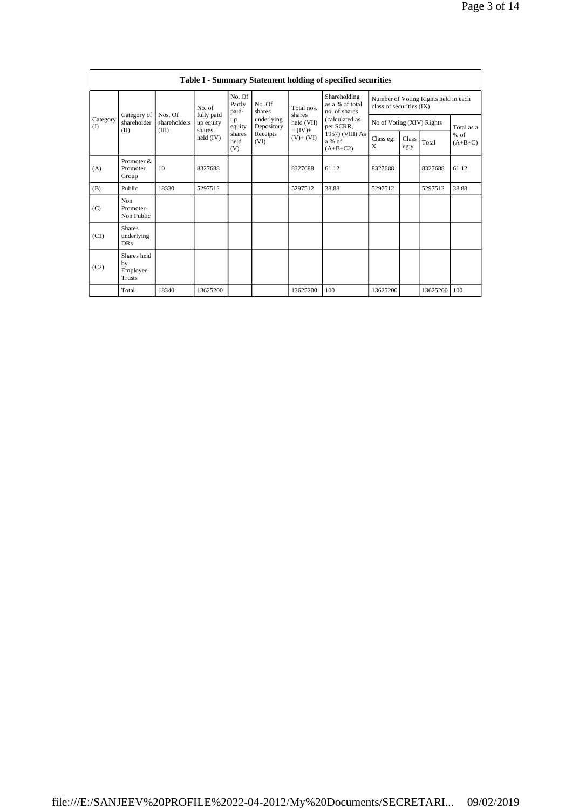|                          |                                                |                         |                         |                           |                          |                           | <b>Table I - Summary Statement holding of specified securities</b> |                                                                  |               |          |                     |
|--------------------------|------------------------------------------------|-------------------------|-------------------------|---------------------------|--------------------------|---------------------------|--------------------------------------------------------------------|------------------------------------------------------------------|---------------|----------|---------------------|
|                          |                                                |                         | No. of                  | No. Of<br>Partly<br>paid- | No. Of<br>shares         | Total nos.                | Shareholding<br>as a % of total<br>no. of shares                   | Number of Voting Rights held in each<br>class of securities (IX) |               |          |                     |
| Category<br>$($ $\Gamma$ | Category of<br>shareholder                     | Nos. Of<br>shareholders | fully paid<br>up equity | up<br>equity              | underlying<br>Depository | shares<br>held (VII)      | (calculated as<br>per SCRR,                                        | No of Voting (XIV) Rights                                        |               |          | Total as a          |
|                          | (II)                                           | (III)                   | shares<br>held $(IV)$   | shares<br>held<br>(V)     | Receipts<br>(VI)         | $=$ (IV)+<br>$(V) + (VI)$ | 1957) (VIII) As<br>a % of<br>$(A+B+C2)$                            | Class eg:<br>X                                                   | Class<br>eg:y | Total    | $%$ of<br>$(A+B+C)$ |
| (A)                      | Promoter &<br>Promoter<br>Group                | 10                      | 8327688                 |                           |                          | 8327688                   | 61.12                                                              | 8327688                                                          |               | 8327688  | 61.12               |
| (B)                      | Public                                         | 18330                   | 5297512                 |                           |                          | 5297512                   | 38.88                                                              | 5297512                                                          |               | 5297512  | 38.88               |
| (C)                      | Non<br>Promoter-<br>Non Public                 |                         |                         |                           |                          |                           |                                                                    |                                                                  |               |          |                     |
| (C1)                     | <b>Shares</b><br>underlying<br>DR <sub>S</sub> |                         |                         |                           |                          |                           |                                                                    |                                                                  |               |          |                     |
| (C2)                     | Shares held<br>by<br>Employee<br><b>Trusts</b> |                         |                         |                           |                          |                           |                                                                    |                                                                  |               |          |                     |
|                          | Total                                          | 18340                   | 13625200                |                           |                          | 13625200                  | 100                                                                | 13625200                                                         |               | 13625200 | 100                 |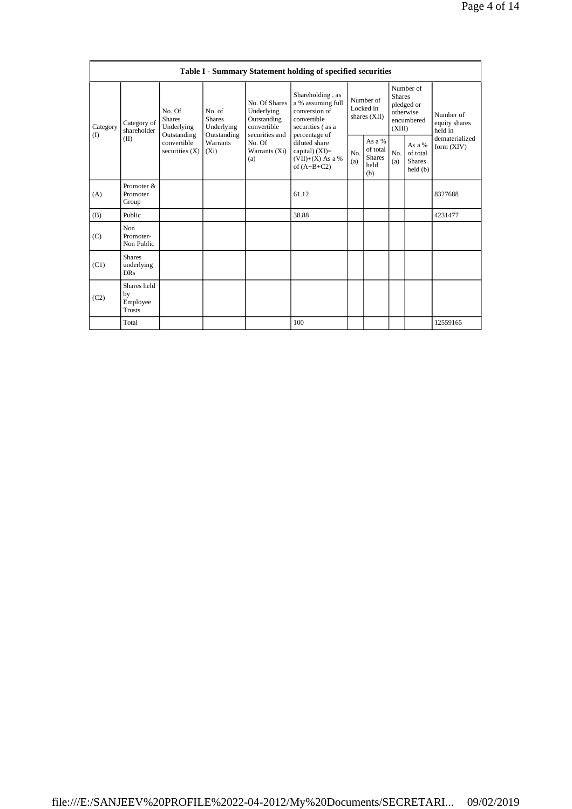|                 | Table I - Summary Statement holding of specified securities |                                                      |                     |                                                                          |                                                                                                               |                                                                                                            |                                                      |            |                                                                               |                              |                                       |  |
|-----------------|-------------------------------------------------------------|------------------------------------------------------|---------------------|--------------------------------------------------------------------------|---------------------------------------------------------------------------------------------------------------|------------------------------------------------------------------------------------------------------------|------------------------------------------------------|------------|-------------------------------------------------------------------------------|------------------------------|---------------------------------------|--|
| Category<br>(1) | Category of<br>shareholder<br>(II)<br>Promoter &            | No. Of<br><b>Shares</b><br>Underlying<br>Outstanding |                     | No. of<br><b>Shares</b><br>Underlying<br>Outstanding                     | No. Of Shares<br>Underlying<br>Outstanding<br>convertible<br>securities and<br>No. Of<br>Warrants (Xi)<br>(a) | Shareholding, as<br>a % assuming full<br>conversion of<br>convertible<br>securities (as a<br>percentage of | Number of<br>Locked in<br>shares (XII)               |            | Number of<br><b>Shares</b><br>pledged or<br>otherwise<br>encumbered<br>(XIII) |                              | Number of<br>equity shares<br>held in |  |
|                 |                                                             | convertible<br>securities $(X)$                      | Warrants<br>$(X_i)$ | diluted share<br>capital) $(XI)=$<br>$(VII)+(X)$ As a %<br>of $(A+B+C2)$ |                                                                                                               | No.<br>(a)                                                                                                 | As $a\%$<br>of total<br><b>Shares</b><br>held<br>(b) | No.<br>(a) | As a %<br>of total<br><b>Shares</b><br>held(b)                                | dematerialized<br>form (XIV) |                                       |  |
| (A)             | Promoter<br>Group                                           |                                                      |                     |                                                                          | 61.12                                                                                                         |                                                                                                            |                                                      |            |                                                                               | 8327688                      |                                       |  |
| (B)             | Public                                                      |                                                      |                     |                                                                          | 38.88                                                                                                         |                                                                                                            |                                                      |            |                                                                               | 4231477                      |                                       |  |
| (C)             | Non<br>Promoter-<br>Non Public                              |                                                      |                     |                                                                          |                                                                                                               |                                                                                                            |                                                      |            |                                                                               |                              |                                       |  |
| (C1)            | <b>Shares</b><br>underlying<br><b>DRs</b>                   |                                                      |                     |                                                                          |                                                                                                               |                                                                                                            |                                                      |            |                                                                               |                              |                                       |  |
| (C2)            | Shares held<br>by<br>Employee<br><b>Trusts</b>              |                                                      |                     |                                                                          |                                                                                                               |                                                                                                            |                                                      |            |                                                                               |                              |                                       |  |
|                 | Total                                                       |                                                      |                     |                                                                          | 100                                                                                                           |                                                                                                            |                                                      |            |                                                                               | 12559165                     |                                       |  |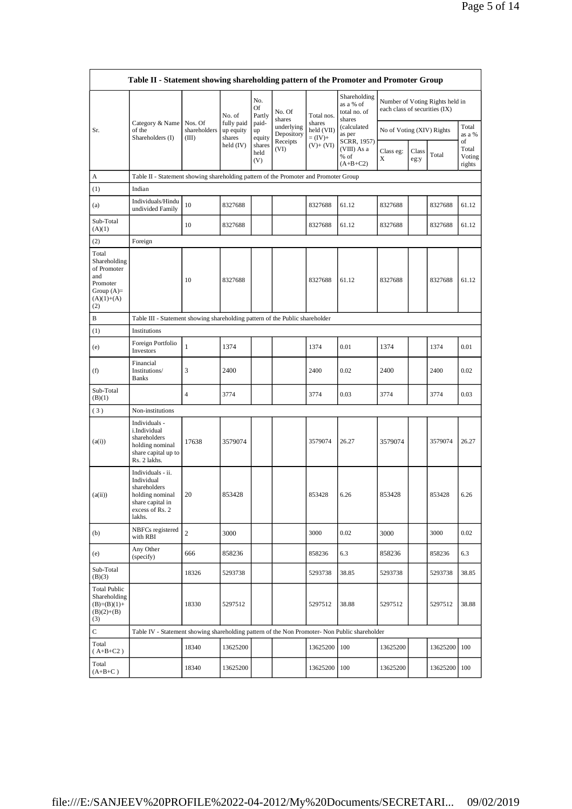|                                                                                                | Table II - Statement showing shareholding pattern of the Promoter and Promoter Group                                |                                  |                                   |                       |                          |                                    |                                                     |                               |               |                                 |                                 |
|------------------------------------------------------------------------------------------------|---------------------------------------------------------------------------------------------------------------------|----------------------------------|-----------------------------------|-----------------------|--------------------------|------------------------------------|-----------------------------------------------------|-------------------------------|---------------|---------------------------------|---------------------------------|
|                                                                                                |                                                                                                                     |                                  | No. of                            | No.<br>Of<br>Partly   | No. Of<br>shares         | Total nos.                         | Shareholding<br>as a % of<br>total no. of<br>shares | each class of securities (IX) |               | Number of Voting Rights held in |                                 |
| Sr.                                                                                            | Category & Name<br>of the<br>Shareholders (I)                                                                       | Nos. Of<br>shareholders<br>(III) | fully paid<br>up equity<br>shares | paid-<br>up<br>equity | underlying<br>Depository | shares<br>held (VII)<br>$= (IV) +$ | (calculated<br>as per                               | No of Voting (XIV) Rights     |               | Total<br>as a %                 |                                 |
|                                                                                                |                                                                                                                     |                                  | held (IV)                         | shares<br>held<br>(V) | Receipts<br>(VI)         | $(V) + (VI)$                       | SCRR, 1957)<br>(VIII) As a<br>% of<br>$(A+B+C2)$    | Class eg:<br>Χ                | Class<br>eg:y | Total                           | of<br>Total<br>Voting<br>rights |
| А                                                                                              | Table II - Statement showing shareholding pattern of the Promoter and Promoter Group                                |                                  |                                   |                       |                          |                                    |                                                     |                               |               |                                 |                                 |
| (1)                                                                                            | Indian                                                                                                              |                                  |                                   |                       |                          |                                    |                                                     |                               |               |                                 |                                 |
| (a)                                                                                            | Individuals/Hindu<br>undivided Family                                                                               | 10                               | 8327688                           |                       |                          | 8327688                            | 61.12                                               | 8327688                       |               | 8327688                         | 61.12                           |
| Sub-Total<br>(A)(1)                                                                            |                                                                                                                     | 10                               | 8327688                           |                       |                          | 8327688                            | 61.12                                               | 8327688                       |               | 8327688                         | 61.12                           |
| (2)                                                                                            | Foreign                                                                                                             |                                  |                                   |                       |                          |                                    |                                                     |                               |               |                                 |                                 |
| Total<br>Shareholding<br>of Promoter<br>and<br>Promoter<br>Group $(A)=$<br>$(A)(1)+(A)$<br>(2) |                                                                                                                     | 10                               | 8327688                           |                       |                          | 8327688                            | 61.12                                               | 8327688                       |               | 8327688                         | 61.12                           |
| В                                                                                              | Table III - Statement showing shareholding pattern of the Public shareholder                                        |                                  |                                   |                       |                          |                                    |                                                     |                               |               |                                 |                                 |
| (1)                                                                                            | Institutions                                                                                                        |                                  |                                   |                       |                          |                                    |                                                     |                               |               |                                 |                                 |
| (e)                                                                                            | Foreign Portfolio<br>Investors                                                                                      | $\mathbf{1}$                     | 1374                              |                       |                          | 1374                               | 0.01                                                | 1374                          |               | 1374                            | 0.01                            |
| (f)                                                                                            | Financial<br>Institutions/<br><b>Banks</b>                                                                          | 3                                | 2400                              |                       |                          | 2400                               | 0.02                                                | 2400                          |               | 2400                            | 0.02                            |
| Sub-Total<br>(B)(1)                                                                            |                                                                                                                     | $\overline{4}$                   | 3774                              |                       |                          | 3774                               | 0.03                                                | 3774                          |               | 3774                            | 0.03                            |
| (3)                                                                                            | Non-institutions                                                                                                    |                                  |                                   |                       |                          |                                    |                                                     |                               |               |                                 |                                 |
| (a(i))                                                                                         | Individuals -<br>i.Individual<br>shareholders<br>holding nominal<br>share capital up to<br>Rs. 2 lakhs.             | 17638                            | 3579074                           |                       |                          | 3579074                            | 26.27                                               | 3579074                       |               | 3579074                         | 26.27                           |
| (a(ii))                                                                                        | Individuals - ii.<br>Individual<br>shareholders<br>holding nominal<br>share capital in<br>excess of Rs. 2<br>lakhs. | 20                               | 853428                            |                       |                          | 853428                             | 6.26                                                | 853428                        |               | 853428                          | 6.26                            |
| (b)                                                                                            | NBFCs registered<br>with RBI                                                                                        | $\sqrt{2}$                       | 3000                              |                       |                          | 3000                               | 0.02                                                | 3000                          |               | 3000                            | 0.02                            |
| (e)                                                                                            | Any Other<br>(specify)                                                                                              | 666                              | 858236                            |                       |                          | 858236                             | 6.3                                                 | 858236                        |               | 858236                          | 6.3                             |
| Sub-Total<br>(B)(3)                                                                            |                                                                                                                     | 18326                            | 5293738                           |                       |                          | 5293738                            | 38.85                                               | 5293738                       |               | 5293738                         | 38.85                           |
| <b>Total Public</b><br>Shareholding<br>$(B)=(B)(1)+$<br>$(B)(2)+(B)$<br>(3)                    |                                                                                                                     | 18330                            | 5297512                           |                       |                          | 5297512                            | 38.88                                               | 5297512                       |               | 5297512                         | 38.88                           |
| $\mathbf C$                                                                                    | Table IV - Statement showing shareholding pattern of the Non Promoter- Non Public shareholder                       |                                  |                                   |                       |                          |                                    |                                                     |                               |               |                                 |                                 |
| Total<br>$(A+B+C2)$                                                                            |                                                                                                                     | 18340                            | 13625200                          |                       |                          | 13625200                           | 100                                                 | 13625200                      |               | 13625200 100                    |                                 |
| Total<br>$(A+B+C)$                                                                             |                                                                                                                     | 18340                            | 13625200                          |                       |                          | 13625200                           | 100                                                 | 13625200                      |               | 13625200 100                    |                                 |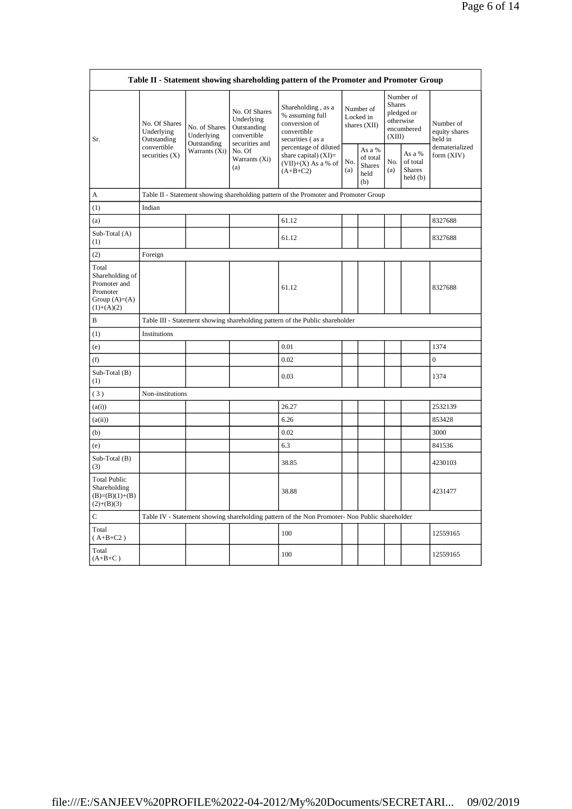|                                                                                         | Table II - Statement showing shareholding pattern of the Promoter and Promoter Group |                                                             |                                                                                                               |                                                                                               |                                        |                                                    |                                                                               |                                                |                                       |  |  |  |
|-----------------------------------------------------------------------------------------|--------------------------------------------------------------------------------------|-------------------------------------------------------------|---------------------------------------------------------------------------------------------------------------|-----------------------------------------------------------------------------------------------|----------------------------------------|----------------------------------------------------|-------------------------------------------------------------------------------|------------------------------------------------|---------------------------------------|--|--|--|
| Sr.                                                                                     | No. Of Shares<br>Underlying<br>Outstanding                                           | No. of Shares<br>Underlying<br>Outstanding<br>Warrants (Xi) | No. Of Shares<br>Underlying<br>Outstanding<br>convertible<br>securities and<br>No. Of<br>Warrants (Xi)<br>(a) | Shareholding, as a<br>% assuming full<br>conversion of<br>convertible<br>securities (as a     | Number of<br>Locked in<br>shares (XII) |                                                    | Number of<br><b>Shares</b><br>pledged or<br>otherwise<br>encumbered<br>(XIII) |                                                | Number of<br>equity shares<br>held in |  |  |  |
|                                                                                         | convertible<br>securities $(X)$                                                      |                                                             |                                                                                                               | percentage of diluted<br>share capital) $(XI)$ =<br>$(VII)+(X)$ As a % of<br>$(A+B+C2)$       | No.<br>(a)                             | As a %<br>of total<br><b>Shares</b><br>held<br>(b) | No.<br>(a)                                                                    | As a %<br>of total<br><b>Shares</b><br>held(b) | dematerialized<br>form $(XIV)$        |  |  |  |
| A                                                                                       |                                                                                      |                                                             |                                                                                                               | Table II - Statement showing shareholding pattern of the Promoter and Promoter Group          |                                        |                                                    |                                                                               |                                                |                                       |  |  |  |
| (1)                                                                                     | Indian                                                                               |                                                             |                                                                                                               |                                                                                               |                                        |                                                    |                                                                               |                                                |                                       |  |  |  |
| (a)                                                                                     |                                                                                      |                                                             |                                                                                                               | 61.12                                                                                         |                                        |                                                    |                                                                               |                                                | 8327688                               |  |  |  |
| Sub-Total (A)<br>(1)                                                                    |                                                                                      |                                                             |                                                                                                               | 61.12                                                                                         |                                        |                                                    |                                                                               |                                                | 8327688                               |  |  |  |
| (2)                                                                                     | Foreign                                                                              |                                                             |                                                                                                               |                                                                                               |                                        |                                                    |                                                                               |                                                |                                       |  |  |  |
| Total<br>Shareholding of<br>Promoter and<br>Promoter<br>Group $(A)=(A)$<br>$(1)+(A)(2)$ |                                                                                      |                                                             |                                                                                                               | 61.12                                                                                         |                                        |                                                    |                                                                               |                                                | 8327688                               |  |  |  |
| B                                                                                       |                                                                                      |                                                             |                                                                                                               | Table III - Statement showing shareholding pattern of the Public shareholder                  |                                        |                                                    |                                                                               |                                                |                                       |  |  |  |
| (1)                                                                                     | Institutions                                                                         |                                                             |                                                                                                               |                                                                                               |                                        |                                                    |                                                                               |                                                |                                       |  |  |  |
| (e)                                                                                     |                                                                                      |                                                             |                                                                                                               | 0.01                                                                                          |                                        |                                                    |                                                                               |                                                | 1374                                  |  |  |  |
| (f)                                                                                     |                                                                                      |                                                             |                                                                                                               | 0.02                                                                                          |                                        |                                                    |                                                                               |                                                | $\mathbf{0}$                          |  |  |  |
| Sub-Total (B)<br>(1)                                                                    |                                                                                      |                                                             |                                                                                                               | 0.03                                                                                          |                                        |                                                    |                                                                               |                                                | 1374                                  |  |  |  |
| (3)                                                                                     | Non-institutions                                                                     |                                                             |                                                                                                               |                                                                                               |                                        |                                                    |                                                                               |                                                |                                       |  |  |  |
| (a(i))                                                                                  |                                                                                      |                                                             |                                                                                                               | 26.27                                                                                         |                                        |                                                    |                                                                               |                                                | 2532139                               |  |  |  |
| (a(ii))                                                                                 |                                                                                      |                                                             |                                                                                                               | 6.26                                                                                          |                                        |                                                    |                                                                               |                                                | 853428                                |  |  |  |
| (b)                                                                                     |                                                                                      |                                                             |                                                                                                               | 0.02                                                                                          |                                        |                                                    |                                                                               |                                                | 3000                                  |  |  |  |
| (e)                                                                                     |                                                                                      |                                                             |                                                                                                               | 6.3                                                                                           |                                        |                                                    |                                                                               |                                                | 841536                                |  |  |  |
| Sub-Total (B)<br>(3)                                                                    |                                                                                      |                                                             |                                                                                                               | 38.85                                                                                         |                                        |                                                    |                                                                               |                                                | 4230103                               |  |  |  |
| <b>Total Public</b><br>Shareholding<br>$(B)=(B)(1)+(B)$<br>$(2)+(B)(3)$                 |                                                                                      |                                                             |                                                                                                               | 38.88                                                                                         |                                        |                                                    |                                                                               |                                                | 4231477                               |  |  |  |
| $\mathbf C$                                                                             |                                                                                      |                                                             |                                                                                                               | Table IV - Statement showing shareholding pattern of the Non Promoter- Non Public shareholder |                                        |                                                    |                                                                               |                                                |                                       |  |  |  |
| Total<br>$($ A+B+C2 $)$                                                                 |                                                                                      |                                                             |                                                                                                               | 100                                                                                           |                                        |                                                    |                                                                               |                                                | 12559165                              |  |  |  |
| Total<br>$(A+B+C)$                                                                      |                                                                                      |                                                             |                                                                                                               | 100                                                                                           |                                        |                                                    |                                                                               |                                                | 12559165                              |  |  |  |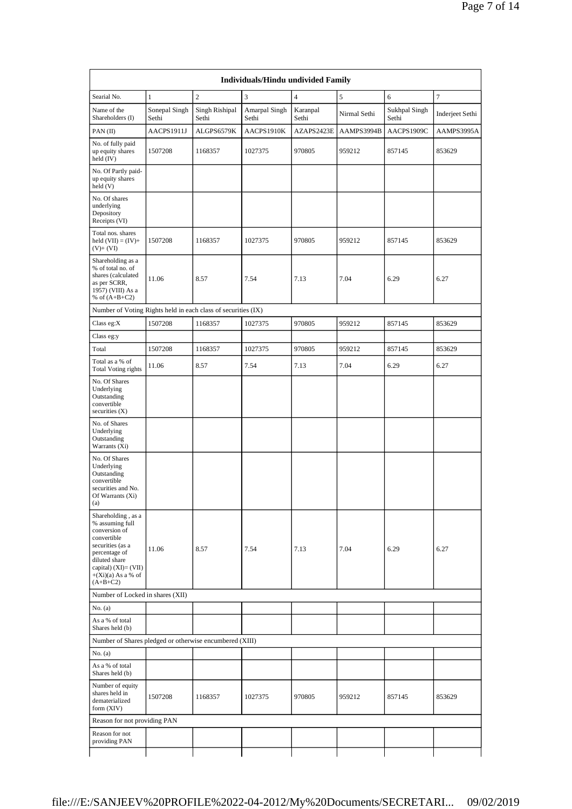|                                                                                                                                                                                              | <b>Individuals/Hindu undivided Family</b> |                         |                        |                   |              |                        |                 |  |  |  |  |
|----------------------------------------------------------------------------------------------------------------------------------------------------------------------------------------------|-------------------------------------------|-------------------------|------------------------|-------------------|--------------|------------------------|-----------------|--|--|--|--|
| Searial No.                                                                                                                                                                                  | $\mathbf{1}$                              | $\overline{c}$          | 3                      | $\overline{4}$    | 5            | 6                      | $\tau$          |  |  |  |  |
| Name of the<br>Shareholders (I)                                                                                                                                                              | Sonepal Singh<br>Sethi                    | Singh Rishipal<br>Sethi | Amarpal Singh<br>Sethi | Karanpal<br>Sethi | Nirmal Sethi | Sukhpal Singh<br>Sethi | Inderjeet Sethi |  |  |  |  |
| $PAN$ (II)                                                                                                                                                                                   | AACPS1911J                                | ALGPS6579K              | AACPS1910K             | AZAPS2423E        | AAMPS3994B   | AACPS1909C             | AAMPS3995A      |  |  |  |  |
| No. of fully paid<br>up equity shares<br>held (IV)                                                                                                                                           | 1507208                                   | 1168357                 | 1027375                | 970805            | 959212       | 857145                 | 853629          |  |  |  |  |
| No. Of Partly paid-<br>up equity shares<br>held (V)                                                                                                                                          |                                           |                         |                        |                   |              |                        |                 |  |  |  |  |
| No. Of shares<br>underlying<br>Depository<br>Receipts (VI)                                                                                                                                   |                                           |                         |                        |                   |              |                        |                 |  |  |  |  |
| Total nos. shares<br>held $(VII) = (IV) +$<br>$(V) + (VI)$                                                                                                                                   | 1507208                                   | 1168357                 | 1027375                | 970805            | 959212       | 857145                 | 853629          |  |  |  |  |
| Shareholding as a<br>% of total no. of<br>shares (calculated<br>as per SCRR,<br>1957) (VIII) As a<br>% of $(A+B+C2)$                                                                         | 11.06                                     | 8.57                    | 7.54                   | 7.13              | 7.04         | 6.29                   | 6.27            |  |  |  |  |
| Number of Voting Rights held in each class of securities (IX)                                                                                                                                |                                           |                         |                        |                   |              |                        |                 |  |  |  |  |
| Class eg:X                                                                                                                                                                                   | 1507208                                   | 1168357                 | 1027375                | 970805            | 959212       | 857145                 | 853629          |  |  |  |  |
| Class eg:y                                                                                                                                                                                   |                                           |                         |                        |                   |              |                        |                 |  |  |  |  |
| Total                                                                                                                                                                                        | 1507208                                   | 1168357                 | 1027375                | 970805            | 959212       | 857145                 | 853629          |  |  |  |  |
| Total as a % of<br><b>Total Voting rights</b>                                                                                                                                                | 11.06                                     | 8.57                    | 7.54                   | 7.13              | 7.04         | 6.29                   | 6.27            |  |  |  |  |
| No. Of Shares<br>Underlying<br>Outstanding<br>convertible<br>securities (X)                                                                                                                  |                                           |                         |                        |                   |              |                        |                 |  |  |  |  |
| No. of Shares<br>Underlying<br>Outstanding<br>Warrants (Xi)                                                                                                                                  |                                           |                         |                        |                   |              |                        |                 |  |  |  |  |
| No. Of Shares<br>Underlying<br>Outstanding<br>convertible<br>securities and No.<br>Of Warrants (Xi)<br>(a)                                                                                   |                                           |                         |                        |                   |              |                        |                 |  |  |  |  |
| Shareholding, as a<br>% assuming full<br>conversion of<br>convertible<br>securities (as a<br>percentage of<br>diluted share<br>capital) $(XI) = (VII)$<br>$+(Xi)(a)$ As a % of<br>$(A+B+C2)$ | 11.06                                     | 8.57                    | 7.54                   | 7.13              | 7.04         | 6.29                   | 6.27            |  |  |  |  |
| Number of Locked in shares (XII)                                                                                                                                                             |                                           |                         |                        |                   |              |                        |                 |  |  |  |  |
| No. (a)                                                                                                                                                                                      |                                           |                         |                        |                   |              |                        |                 |  |  |  |  |
| As a % of total<br>Shares held (b)                                                                                                                                                           |                                           |                         |                        |                   |              |                        |                 |  |  |  |  |
| Number of Shares pledged or otherwise encumbered (XIII)                                                                                                                                      |                                           |                         |                        |                   |              |                        |                 |  |  |  |  |
| No. (a)                                                                                                                                                                                      |                                           |                         |                        |                   |              |                        |                 |  |  |  |  |
| As a % of total<br>Shares held (b)                                                                                                                                                           |                                           |                         |                        |                   |              |                        |                 |  |  |  |  |
| Number of equity<br>shares held in<br>dematerialized<br>form (XIV)                                                                                                                           | 1507208                                   | 1168357                 | 1027375                | 970805            | 959212       | 857145                 | 853629          |  |  |  |  |
| Reason for not providing PAN                                                                                                                                                                 |                                           |                         |                        |                   |              |                        |                 |  |  |  |  |
| Reason for not<br>providing PAN                                                                                                                                                              |                                           |                         |                        |                   |              |                        |                 |  |  |  |  |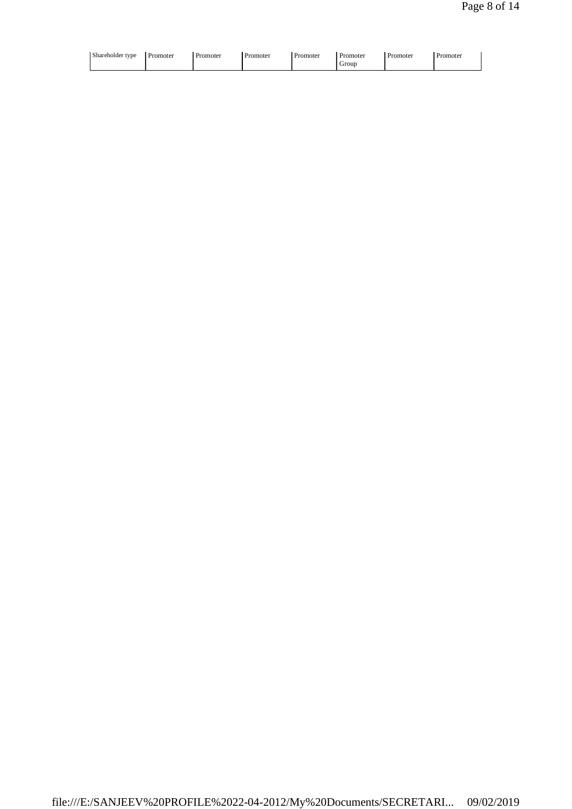| Shareholder type<br>Promoter<br>Promoter | Promoter<br>Promoter | Promoter<br>Promoter<br>Grour | Promoter |
|------------------------------------------|----------------------|-------------------------------|----------|
|------------------------------------------|----------------------|-------------------------------|----------|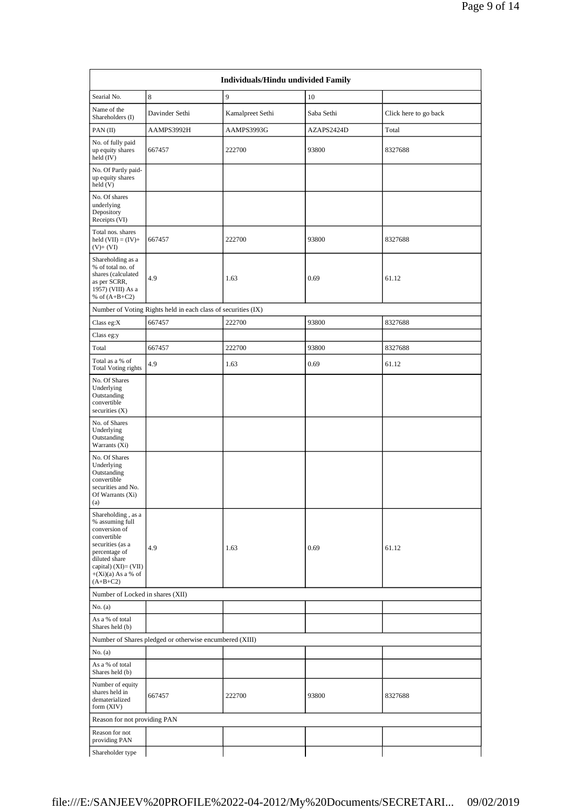|                                                                                                                                                                                              | <b>Individuals/Hindu undivided Family</b>                     |                  |            |                       |  |  |  |  |  |  |  |
|----------------------------------------------------------------------------------------------------------------------------------------------------------------------------------------------|---------------------------------------------------------------|------------------|------------|-----------------------|--|--|--|--|--|--|--|
| Searial No.                                                                                                                                                                                  | 8                                                             | 9                | 10         |                       |  |  |  |  |  |  |  |
| Name of the<br>Shareholders (I)                                                                                                                                                              | Davinder Sethi                                                | Kamalpreet Sethi | Saba Sethi | Click here to go back |  |  |  |  |  |  |  |
| PAN(II)                                                                                                                                                                                      | AAMPS3992H                                                    | AAMPS3993G       | AZAPS2424D | Total                 |  |  |  |  |  |  |  |
| No. of fully paid<br>up equity shares<br>held (IV)                                                                                                                                           | 667457                                                        | 222700           | 93800      | 8327688               |  |  |  |  |  |  |  |
| No. Of Partly paid-<br>up equity shares<br>held (V)                                                                                                                                          |                                                               |                  |            |                       |  |  |  |  |  |  |  |
| No. Of shares<br>underlying<br>Depository<br>Receipts (VI)                                                                                                                                   |                                                               |                  |            |                       |  |  |  |  |  |  |  |
| Total nos. shares<br>held $(VII) = (IV) +$<br>$(V)+(VI)$                                                                                                                                     | 667457                                                        | 222700           | 93800      | 8327688               |  |  |  |  |  |  |  |
| Shareholding as a<br>% of total no. of<br>shares (calculated<br>as per SCRR,<br>1957) (VIII) As a<br>% of $(A+B+C2)$                                                                         | 4.9                                                           | 1.63             | 0.69       | 61.12                 |  |  |  |  |  |  |  |
|                                                                                                                                                                                              | Number of Voting Rights held in each class of securities (IX) |                  |            |                       |  |  |  |  |  |  |  |
| Class eg:X                                                                                                                                                                                   | 667457                                                        | 222700           | 93800      | 8327688               |  |  |  |  |  |  |  |
| Class eg:y                                                                                                                                                                                   |                                                               |                  |            |                       |  |  |  |  |  |  |  |
| Total                                                                                                                                                                                        | 667457                                                        | 222700           | 93800      | 8327688               |  |  |  |  |  |  |  |
| Total as a % of<br><b>Total Voting rights</b>                                                                                                                                                | 4.9                                                           | 1.63             | 0.69       | 61.12                 |  |  |  |  |  |  |  |
| No. Of Shares<br>Underlying<br>Outstanding<br>convertible<br>securities (X)                                                                                                                  |                                                               |                  |            |                       |  |  |  |  |  |  |  |
| No. of Shares<br>Underlying<br>Outstanding<br>Warrants (Xi)                                                                                                                                  |                                                               |                  |            |                       |  |  |  |  |  |  |  |
| No. Of Shares<br>Underlying<br>Outstanding<br>convertible<br>securities and No.<br>Of Warrants (Xi)<br>(a)                                                                                   |                                                               |                  |            |                       |  |  |  |  |  |  |  |
| Shareholding, as a<br>% assuming full<br>conversion of<br>convertible<br>securities (as a<br>percentage of<br>diluted share<br>capital) $(XI) = (VII)$<br>$+(Xi)(a)$ As a % of<br>$(A+B+C2)$ | 4.9                                                           | 1.63             | 0.69       | 61.12                 |  |  |  |  |  |  |  |
| Number of Locked in shares (XII)                                                                                                                                                             |                                                               |                  |            |                       |  |  |  |  |  |  |  |
| No. (a)                                                                                                                                                                                      |                                                               |                  |            |                       |  |  |  |  |  |  |  |
| As a % of total<br>Shares held (b)                                                                                                                                                           |                                                               |                  |            |                       |  |  |  |  |  |  |  |
|                                                                                                                                                                                              | Number of Shares pledged or otherwise encumbered (XIII)       |                  |            |                       |  |  |  |  |  |  |  |
| No. (a)                                                                                                                                                                                      |                                                               |                  |            |                       |  |  |  |  |  |  |  |
| As a % of total<br>Shares held (b)                                                                                                                                                           |                                                               |                  |            |                       |  |  |  |  |  |  |  |
| Number of equity<br>shares held in<br>dematerialized<br>form (XIV)                                                                                                                           | 667457                                                        | 222700           | 93800      | 8327688               |  |  |  |  |  |  |  |
| Reason for not providing PAN                                                                                                                                                                 |                                                               |                  |            |                       |  |  |  |  |  |  |  |
| Reason for not<br>providing PAN                                                                                                                                                              |                                                               |                  |            |                       |  |  |  |  |  |  |  |
| Shareholder type                                                                                                                                                                             |                                                               |                  |            |                       |  |  |  |  |  |  |  |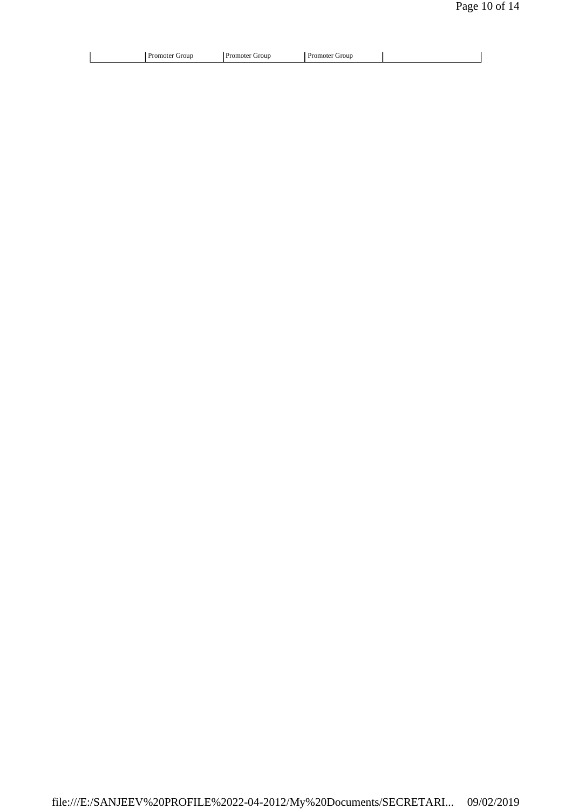|--|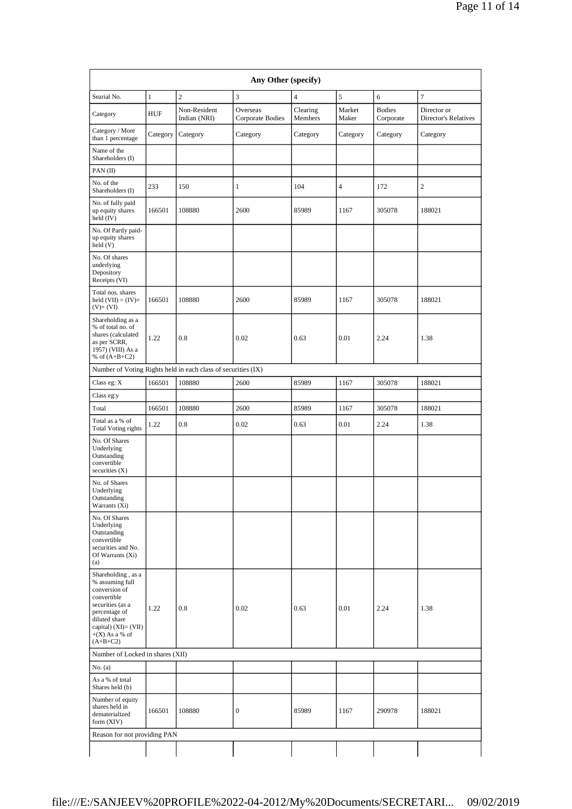| Any Other (specify)                                                                                                                                                                      |              |                                                               |                              |                     |                 |                            |                                            |  |  |  |  |
|------------------------------------------------------------------------------------------------------------------------------------------------------------------------------------------|--------------|---------------------------------------------------------------|------------------------------|---------------------|-----------------|----------------------------|--------------------------------------------|--|--|--|--|
| Searial No.                                                                                                                                                                              | $\mathbf{1}$ | $\mathfrak{2}$                                                | 3                            | $\overline{4}$      | 5               | 6                          | 7                                          |  |  |  |  |
| Category                                                                                                                                                                                 | <b>HUF</b>   | Non-Resident<br>Indian (NRI)                                  | Overseas<br>Corporate Bodies | Clearing<br>Members | Market<br>Maker | <b>Bodies</b><br>Corporate | Director or<br><b>Director's Relatives</b> |  |  |  |  |
| Category / More<br>than 1 percentage                                                                                                                                                     | Category     | Category                                                      | Category                     | Category            | Category        | Category                   | Category                                   |  |  |  |  |
| Name of the<br>Shareholders (I)                                                                                                                                                          |              |                                                               |                              |                     |                 |                            |                                            |  |  |  |  |
| PAN(II)                                                                                                                                                                                  |              |                                                               |                              |                     |                 |                            |                                            |  |  |  |  |
| No. of the<br>Shareholders (I)                                                                                                                                                           | 233          | 150                                                           | 1                            | 104                 | $\overline{4}$  | 172                        | $\overline{c}$                             |  |  |  |  |
| No. of fully paid<br>up equity shares<br>held (IV)                                                                                                                                       | 166501       | 108880                                                        | 2600                         | 85989               | 1167            | 305078                     | 188021                                     |  |  |  |  |
| No. Of Partly paid-<br>up equity shares<br>held (V)                                                                                                                                      |              |                                                               |                              |                     |                 |                            |                                            |  |  |  |  |
| No. Of shares<br>underlying<br>Depository<br>Receipts (VI)                                                                                                                               |              |                                                               |                              |                     |                 |                            |                                            |  |  |  |  |
| Total nos. shares<br>held $(VII) = (IV) +$<br>$(V)+(VI)$                                                                                                                                 | 166501       | 108880                                                        | 2600                         | 85989               | 1167            | 305078                     | 188021                                     |  |  |  |  |
| Shareholding as a<br>% of total no. of<br>shares (calculated<br>as per SCRR,<br>1957) (VIII) As a<br>% of $(A+B+C2)$                                                                     | 1.22         | 0.8                                                           | 0.02                         | 0.63                | 0.01            | 2.24                       | 1.38                                       |  |  |  |  |
|                                                                                                                                                                                          |              | Number of Voting Rights held in each class of securities (IX) |                              |                     |                 |                            |                                            |  |  |  |  |
| Class eg: X                                                                                                                                                                              | 166501       | 108880                                                        | 2600                         | 85989               | 1167            | 305078                     | 188021                                     |  |  |  |  |
| Class eg:y                                                                                                                                                                               |              |                                                               |                              |                     |                 |                            |                                            |  |  |  |  |
| Total                                                                                                                                                                                    | 166501       | 108880                                                        | 2600                         | 85989               | 1167            | 305078                     | 188021                                     |  |  |  |  |
| Total as a % of<br><b>Total Voting rights</b>                                                                                                                                            | 1.22         | 0.8                                                           | 0.02                         | 0.63                | 0.01            | 2.24                       | 1.38                                       |  |  |  |  |
| No. Of Shares<br>Underlying<br>Outstanding<br>convertible<br>securities (X)                                                                                                              |              |                                                               |                              |                     |                 |                            |                                            |  |  |  |  |
| No. of Shares<br>Underlying<br>Outstanding<br>Warrants (Xi)                                                                                                                              |              |                                                               |                              |                     |                 |                            |                                            |  |  |  |  |
| No. Of Shares<br>Underlying<br>Outstanding<br>convertible<br>securities and No.<br>Of Warrants (Xi)<br>(a)                                                                               |              |                                                               |                              |                     |                 |                            |                                            |  |  |  |  |
| Shareholding, as a<br>% assuming full<br>conversion of<br>convertible<br>securities (as a<br>percentage of<br>diluted share<br>capital) $(XI) = (VII)$<br>$+(X)$ As a % of<br>$(A+B+C2)$ | 1.22         | 0.8                                                           | 0.02                         | 0.63                | 0.01            | 2.24                       | 1.38                                       |  |  |  |  |
| Number of Locked in shares (XII)                                                                                                                                                         |              |                                                               |                              |                     |                 |                            |                                            |  |  |  |  |
| No. (a)                                                                                                                                                                                  |              |                                                               |                              |                     |                 |                            |                                            |  |  |  |  |
| As a % of total<br>Shares held (b)                                                                                                                                                       |              |                                                               |                              |                     |                 |                            |                                            |  |  |  |  |
| Number of equity<br>shares held in<br>dematerialized<br>form (XIV)                                                                                                                       | 166501       | 108880                                                        | 0                            | 85989               | 1167            | 290978                     | 188021                                     |  |  |  |  |
| Reason for not providing PAN                                                                                                                                                             |              |                                                               |                              |                     |                 |                            |                                            |  |  |  |  |
|                                                                                                                                                                                          |              |                                                               |                              |                     |                 |                            |                                            |  |  |  |  |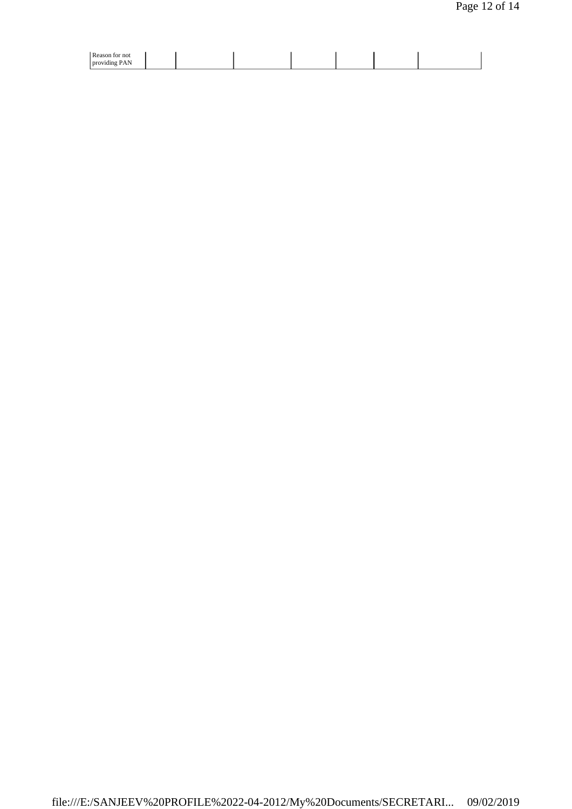| ' Rea<br>or not                                                                          |  |  |  |  |
|------------------------------------------------------------------------------------------|--|--|--|--|
| $\sim$<br>. .<br>$\Delta$ $\mathbb{N}$<br>$1 \text{ m} \text{m}$<br>dına<br>$\cdots$<br> |  |  |  |  |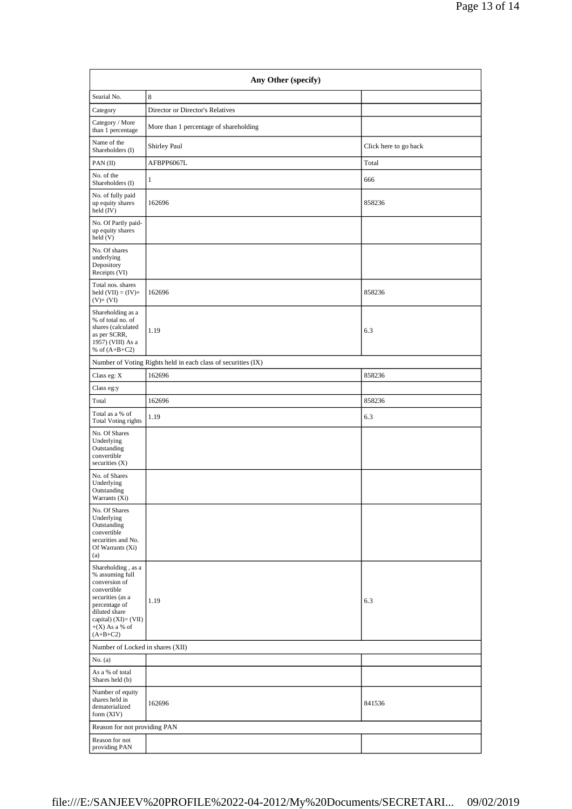| Any Other (specify)                                                                                                                                                                      |                                        |                       |
|------------------------------------------------------------------------------------------------------------------------------------------------------------------------------------------|----------------------------------------|-----------------------|
| Searial No.                                                                                                                                                                              | 8                                      |                       |
| Category                                                                                                                                                                                 | Director or Director's Relatives       |                       |
| Category / More<br>than 1 percentage                                                                                                                                                     | More than 1 percentage of shareholding |                       |
| Name of the<br>Shareholders (I)                                                                                                                                                          | Shirley Paul                           | Click here to go back |
| PAN(II)                                                                                                                                                                                  | AFBPP6067L                             | Total                 |
| No. of the<br>Shareholders (I)                                                                                                                                                           | 1                                      | 666                   |
| No. of fully paid<br>up equity shares<br>held (IV)                                                                                                                                       | 162696                                 | 858236                |
| No. Of Partly paid-<br>up equity shares<br>held (V)                                                                                                                                      |                                        |                       |
| No. Of shares<br>underlying<br>Depository<br>Receipts (VI)                                                                                                                               |                                        |                       |
| Total nos. shares<br>held $(VII) = (IV) +$<br>$(V)+(VI)$                                                                                                                                 | 162696                                 | 858236                |
| Shareholding as a<br>% of total no. of<br>shares (calculated<br>as per SCRR,<br>1957) (VIII) As a<br>% of $(A+B+C2)$                                                                     | 1.19                                   | 6.3                   |
| Number of Voting Rights held in each class of securities (IX)                                                                                                                            |                                        |                       |
| Class eg: $\mathbf X$                                                                                                                                                                    | 162696                                 | 858236                |
| Class eg:y                                                                                                                                                                               |                                        |                       |
| Total                                                                                                                                                                                    | 162696                                 | 858236                |
| Total as a % of<br><b>Total Voting rights</b>                                                                                                                                            | 1.19                                   | 6.3                   |
| No. Of Shares<br>Underlying<br>Outstanding<br>convertible<br>securities $(X)$                                                                                                            |                                        |                       |
| No. of Shares<br>Underlying<br>Outstanding<br>Warrants (Xi)                                                                                                                              |                                        |                       |
| No. Of Shares<br>Underlying<br>Outstanding<br>convertible<br>securities and No.<br>Of Warrants (Xi)<br>(a)                                                                               |                                        |                       |
| Shareholding, as a<br>% assuming full<br>conversion of<br>convertible<br>securities (as a<br>percentage of<br>diluted share<br>capital) $(XI) = (VII)$<br>$+(X)$ As a % of<br>$(A+B+C2)$ | 1.19                                   | 6.3                   |
| Number of Locked in shares (XII)                                                                                                                                                         |                                        |                       |
| No. (a)                                                                                                                                                                                  |                                        |                       |
| As a % of total<br>Shares held (b)                                                                                                                                                       |                                        |                       |
| Number of equity<br>shares held in<br>dematerialized<br>form (XIV)                                                                                                                       | 162696                                 | 841536                |
| Reason for not providing PAN                                                                                                                                                             |                                        |                       |
| Reason for not<br>providing PAN                                                                                                                                                          |                                        |                       |